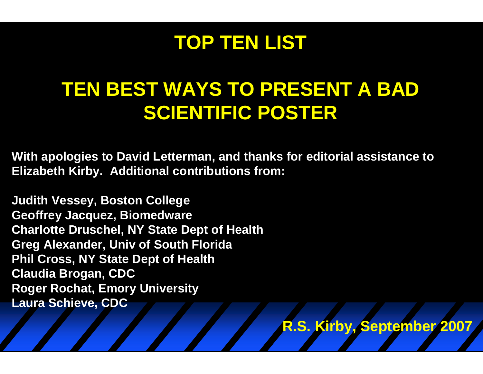#### **TOP TEN LIST**

## **TEN BEST WAYS TO PRESENT A BAD SCIENTIFIC POSTER**

**R.S. Kirby, September 2007**

**With apologies to David Letterman, and thanks for editorial assistance to Elizabeth Kirby. Additional contributions from:**

**Judith Vessey, Boston College Geoffrey Jacquez, Biomedware Charlotte Druschel, NY State Dept of Health Greg Alexander, Univ of South Florida Phil Cross, NY State Dept of Health Claudia Brogan, CDC Roger Rochat, Emory University Laura Schieve, CDC**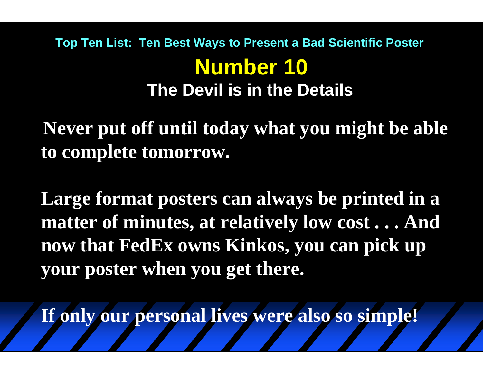#### **Number 10 Top Ten List: Ten Best Ways to Present a Bad Scientific Poster The Devil is in the Details**

**Never put off until today what you might be able to complete tomorrow.**

**Large format posters can always be printed in a matter of minutes, at relatively low cost . . . And now that FedEx owns Kinkos, you can pick up your poster when you get there.**

**If only our personal lives were also so simple!**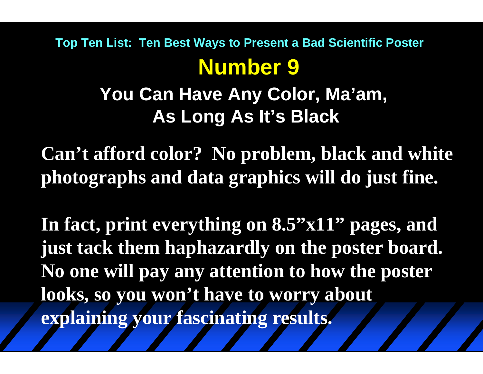# **Number 9 Top Ten List: Ten Best Ways to Present a Bad Scientific Poster**

**You Can Have Any Color, Ma'am, As Long As It's Black**

**Can't afford color? No problem, black and white photographs and data graphics will do just fine.**

In fact, print everything on 8.5"x11" pages, and **just tack them haphazardly on the poster board. No one will pay any attention to how the poster looks, so you won't have to worry about explaining your fascinating results.**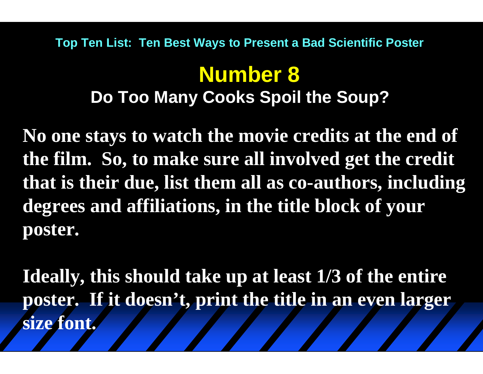#### **Top Ten List: Ten Best Ways to Present a Bad Scientific Poster**

## **Number 8 Do Too Many Cooks Spoil the Soup?**

**No one stays to watch the movie credits at the end of the film. So, to make sure all involved get the credit that is their due, list them all as co-authors, including degrees and affiliations, in the title block of your poster.** 

**Ideally, this should take up at least 1/3 of the entire poster. If it doesn't, print the title in an even larger size font.**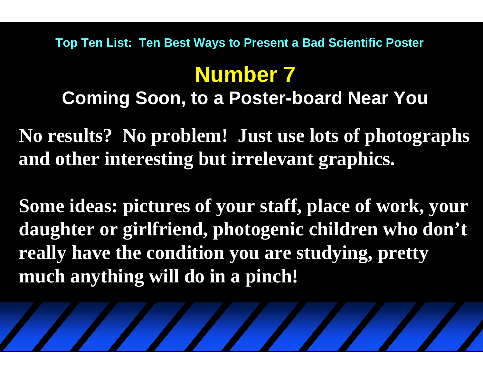#### **Top Ten List: Ten Best Ways to Present a Bad Scientific Poster**

# **Number 7**

**Coming Soon, to a Poster-board Near You**

**No results? No problem! Just use lots of photographs and other interesting but irrelevant graphics.** 

**Some ideas: pictures of your staff, place of work, your daughter or girlfriend, photogenic children who don't really have the condition you are studying, pretty much anything will do in a pinch!**

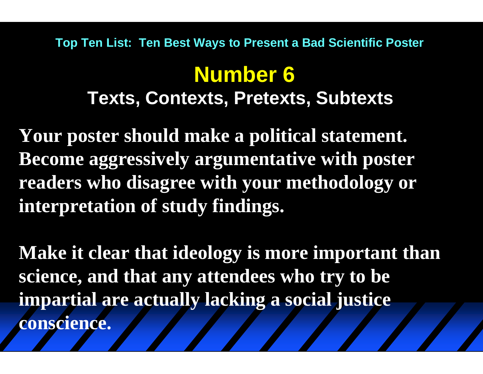#### **Top Ten List: Ten Best Ways to Present a Bad Scientific Poster**

## **Number 6 Texts, Contexts, Pretexts, Subtexts**

**Your poster should make a political statement. Become aggressively argumentative with poster readers who disagree with your methodology or interpretation of study findings.** 

**Make it clear that ideology is more important than science, and that any attendees who try to be impartial are actually lacking a social justice conscience.**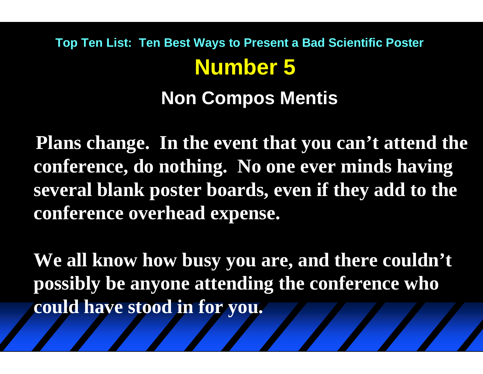# **Number 5 Non Compos Mentis Top Ten List: Ten Best Ways to Present a Bad Scientific Poster**

**Plans change. In the event that you can't attend the conference, do nothing. No one ever minds having several blank poster boards, even if they add to the conference overhead expense.**

**We all know how busy you are, and there couldn't possibly be anyone attending the conference who could have stood in for you.**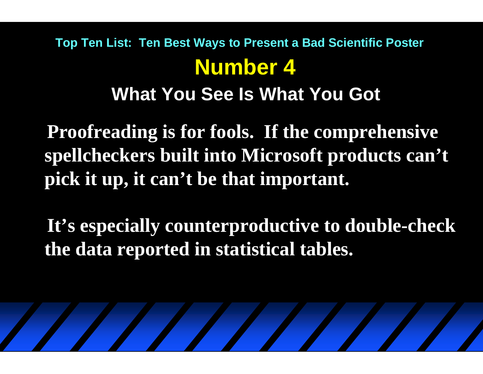### **Number 4What You See Is What You Got Top Ten List: Ten Best Ways to Present a Bad Scientific Poster**

**Proofreading is for fools. If the comprehensive spellcheckers built into Microsoft products can't pick it up, it can't be that important.**

**It's especially counterproductive to double-check the data reported in statistical tables.**

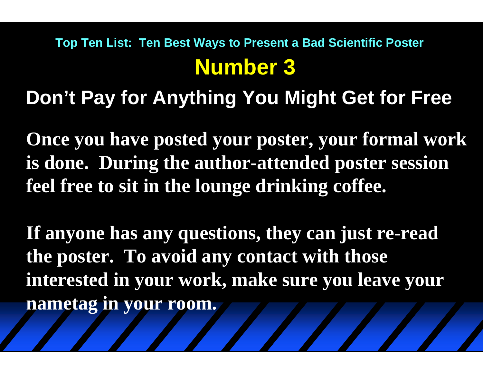## **Number 3 Top Ten List: Ten Best Ways to Present a Bad Scientific Poster**

**Don't Pay for Anything You Might Get for Free**

**Once you have posted your poster, your formal work is done. During the author-attended poster session feel free to sit in the lounge drinking coffee.** 

**If anyone has any questions, they can just re-read the poster. To avoid any contact with those interested in your work, make sure you leave your nametag in your room.**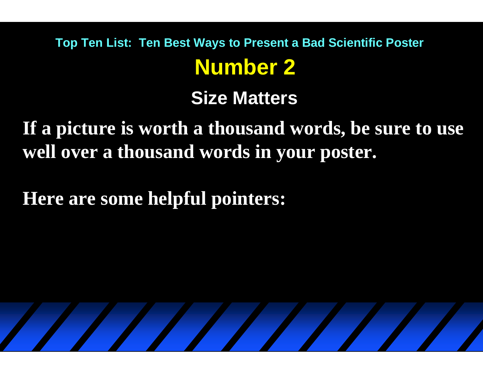# **Number 2 Top Ten List: Ten Best Ways to Present a Bad Scientific Poster**

**Size Matters**

**If a picture is worth a thousand words, be sure to use well over a thousand words in your poster.**

**Here are some helpful pointers:**

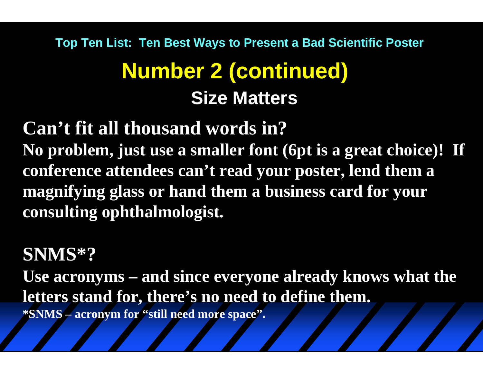# **Number 2 (continued) Size MattersTop Ten List: Ten Best Ways to Present a Bad Scientific Poster**

**Can't fit all thousand words in? No problem, just use a smaller font (6pt is a great choice)! If conference attendees can't read your poster, lend them a magnifying glass or hand them a business card for your consulting ophthalmologist.**

#### **SNMS\*?**

**Use acronyms – and since everyone already knows what the letters stand for, there's no need to define them. \*SNMS – acronym for "still need more space".**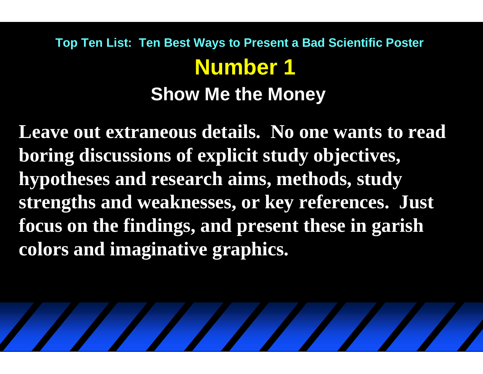## **Number 1Show Me the Money Top Ten List: Ten Best Ways to Present a Bad Scientific Poster**

**Leave out extraneous details. No one wants to read boring discussions of explicit study objectives, hypotheses and research aims, methods, study strengths and weaknesses, or key references. Just focus on the findings, and present these in garish colors and imaginative graphics.** 

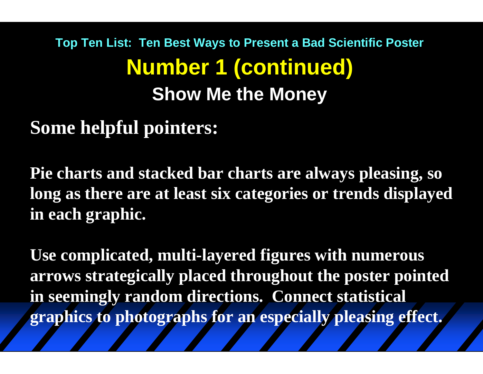# **Number 1 (continued) Show Me the Money Top Ten List: Ten Best Ways to Present a Bad Scientific Poster**

**Some helpful pointers:**

**Pie charts and stacked bar charts are always pleasing, so long as there are at least six categories or trends displayed in each graphic.**

**Use complicated, multi-layered figures with numerous arrows strategically placed throughout the poster pointed in seemingly random directions. Connect statistical graphics to photographs for an especially pleasing effect.**